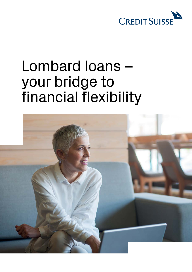

## Lombard loans – your bridge to financial flexibility

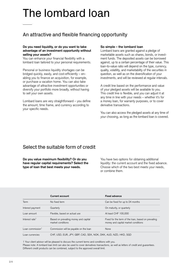# The lombard loan

## An attractive and flexible financing opportunity

#### **Do you need liquidity, or do you want to take advantage of an investment opportunity without selling your assets?**

You can enhance your financial flexibility with a lombard loan tailored to your personal requirements.

 or purchase a vacation home. You can also take Personal or business liquidity shortages can be bridged quickly, easily, and cost-efficiently – enabling you to finance an acquisition, for example, advantage of attractive investment opportunities or diversify your portfolio more broadly, without having to sell your own assets.

Lombard loans are very straightforward – you define the amount, time frame, and currency according to your specific needs.

### **So simple – the lombard loan**

Lombard loans are granted against a pledge of marketable assets such as shares, bonds, or investment funds. The deposited assets can be borrowed against, up to a certain percentage of their value. This loan-to-value ratio will depend on the type, currency, quality, volatility, and marketability of the securities in question, as well as on the diversification of your investments, and will be reviewed at regular intervals.

A credit line based on the performance and value of your pledged assets will be available to you. This credit line is flexible, and you can adjust it at any time in line with your needs – whether it's for a money loan, for warranty purposes, or to cover derivative transactions.

You can also access the pledged assets at any time of your choosing, as long as the lombard loan is covered.

## Select the suitable form of credit

**Do you value maximum flexibility? Or do you have regular capital requirements? Select the type of loan that best meets your needs.** 

You have two options for obtaining additional liquidity: the current account and the fixed advance. Choose which of the two best meets your needs, or combine them.

|                            | Current account                                                 | <b>Fixed advance</b>                                                                       |
|----------------------------|-----------------------------------------------------------------|--------------------------------------------------------------------------------------------|
| Term                       | No fixed term                                                   | Can be fixed for up to 24 months                                                           |
| Interest payment           | Quarterly                                                       | On maturity, or quarterly                                                                  |
| Loan amount                | Flexible, based on actual use                                   | At least CHF 100,000                                                                       |
| Interest rate <sup>1</sup> | Based on prevailing money and capital<br>market conditions      | Fixed for the term of the loan, based on prevailing<br>money and capital market conditions |
| Loan commission $1$        | Commission will be payable on the loan                          | None                                                                                       |
| Loan currencies            | CHF, USD, EUR, JPY, GBP, CAD, SEK, NOK, DKK, AUD, NZD, HKD, SGD |                                                                                            |

1 Your client advisor will be pleased to discuss the current terms and conditions with you. Please note: A lombard loan limit can also be used to cover derivatives transactions, as well as letters of credit and guarantees. Different credit products can be combined, subject to the approved overall limit.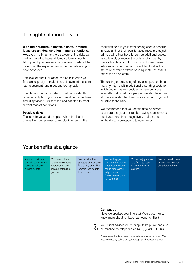## The right solution for you

#### **With their numerous possible uses, lombard loans are an ideal solution in many situations.**

However, it is important to be aware of the risks as well as the advantages. A lombard loan is worth taking out if you believe your borrowing costs will be lower than the expected return on the collateral you have deposited.

The level of credit utilization can be tailored to your financial capacity to make interest payments, ensure loan repayment, and meet any top-up calls.

The chosen lombard strategy must be constantly reviewed in light of your stated investment objectives and, if applicable, reassessed and adapted to meet current market conditions.

#### **Possible risks**

The loan-to-value ratio applied when the loan is granted will be reviewed at regular intervals. If the securities held in your safekeeping account decline in value and/or their loan-to-value ratios are adjusted, you will either have to provide additional assets as collateral, or reduce the outstanding loan by the applicable amount. If you do not meet these liabilities on time, the bank is entitled to alter the structure of your portfolio or to liquidate the assets deposited as collateral.

The closing or unwinding of any open position before maturity may result in additional unwinding costs for which you will be responsible. In the worst case, even after selling all your pledged assets, there may still be an outstanding loan balance for which you will be liable to the bank.

We recommend that you obtain detailed advice to ensure that your desired borrowing requirements meet your investment objectives, and that the lombard loan corresponds to your needs.

## Your benefits at a glance

You can obtain additional capital without having to sell your existing assets.

You can continue You can alter the We can help you<br>to enjoy the capital structure of your port-<br>structure the loan structure of your port- structure the loan to appreciation and folio at any time. The meet your individual<br>income potential of lombard loan adapts needs with respect your assets. to your needs. to type, amount, time

needs with respect frame, currency, and risk tolerance.

You will enjoy access to a flexible, costefficient financing solution.

professional, individu You can benefit from ally tailored advice.

#### **Contact us**

Have we sparked your interest? Would you like to know more about lombard loan opportunities?



Your client advisor will be happy to help. We can also be reached by telephone at  $+41$  (0)848 880 844.

Please note that telephone conversations may be recorded. We assume that, by calling us, you accept this business practice.